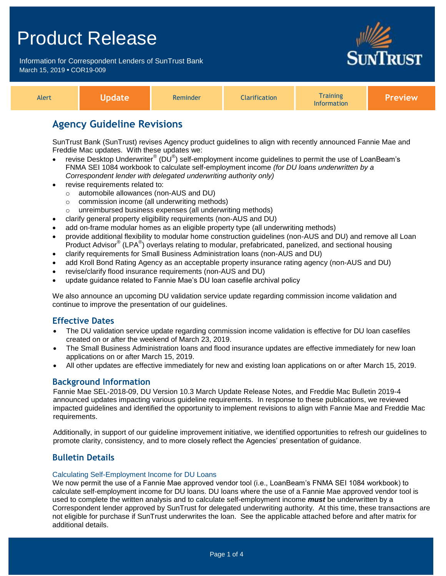Information for Correspondent Lenders of SunTrust Bank March 15, 2019 **•** COR19-009



| raining<br><b>Narification</b><br>Aler*<br>eminder<br><b>Information</b> | eview: |
|--------------------------------------------------------------------------|--------|
|--------------------------------------------------------------------------|--------|

## **Agency Guideline Revisions**

SunTrust Bank (SunTrust) revises Agency product guidelines to align with recently announced Fannie Mae and Freddie Mac updates. With these updates we:

- revise Desktop Underwriter® (DU<sup>®</sup>) self-employment income guidelines to permit the use of LoanBeam's FNMA SEI 1084 workbook to calculate self-employment income *(for DU loans underwritten by a Correspondent lender with delegated underwriting authority only)*
- revise requirements related to:
	- o automobile allowances (non-AUS and DU)
	- o commission income (all underwriting methods)
	- o unreimbursed business expenses (all underwriting methods)
- clarify general property eligibility requirements (non-AUS and DU)
- add on-frame modular homes as an eligible property type (all underwriting methods)
- provide additional flexibility to modular home construction guidelines (non-AUS and DU) and remove all Loan .<br>Product Advisor® (LPA®) overlays relating to modular, prefabricated, panelized, and sectional housing
- clarify requirements for Small Business Administration loans (non-AUS and DU)
- add Kroll Bond Rating Agency as an acceptable property insurance rating agency (non-AUS and DU)
- revise/clarify flood insurance requirements (non-AUS and DU)
- update guidance related to Fannie Mae's DU loan casefile archival policy

We also announce an upcoming DU validation service update regarding commission income validation and continue to improve the presentation of our guidelines.

## **Effective Dates**

- The DU validation service update regarding commission income validation is effective for DU loan casefiles created on or after the weekend of March 23, 2019.
- The Small Business Administration loans and flood insurance updates are effective immediately for new loan applications on or after March 15, 2019.
- All other updates are effective immediately for new and existing loan applications on or after March 15, 2019.

## **Background Information**

Fannie Mae SEL-2018-09, DU Version 10.3 March Update Release Notes, and Freddie Mac Bulletin 2019-4 announced updates impacting various guideline requirements. In response to these publications, we reviewed impacted guidelines and identified the opportunity to implement revisions to align with Fannie Mae and Freddie Mac requirements.

Additionally, in support of our guideline improvement initiative, we identified opportunities to refresh our guidelines to promote clarity, consistency, and to more closely reflect the Agencies' presentation of guidance.

## **Bulletin Details**

### Calculating Self-Employment Income for DU Loans

We now permit the use of a Fannie Mae approved vendor tool (i.e., LoanBeam's FNMA SEI 1084 workbook) to calculate self-employment income for DU loans. DU loans where the use of a Fannie Mae approved vendor tool is used to complete the written analysis and to calculate self-employment income *must* be underwritten by a Correspondent lender approved by SunTrust for delegated underwriting authority. At this time, these transactions are not eligible for purchase if SunTrust underwrites the loan. See the applicable attached before and after matrix for additional details.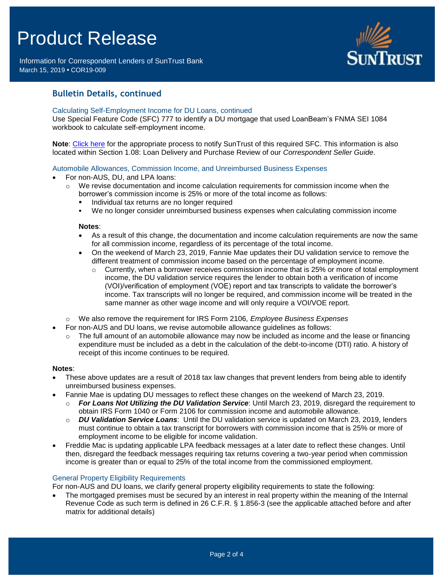Information for Correspondent Lenders of SunTrust Bank March 15, 2019 **•** COR19-009



## **Bulletin Details, continued**

### Calculating Self-Employment Income for DU Loans, continued

Use Special Feature Code (SFC) 777 to identify a DU mortgage that used LoanBeam's FNMA SEI 1084 workbook to calculate self-employment income.

**Note**: [Click here](https://www.truistsellerguide.com/manual/cor/general/Instructions%20for%20Entering%20SFCs.pdf) for the appropriate process to notify SunTrust of this required SFC. This information is also located within Section 1.08: Loan Delivery and Purchase Review of our *Correspondent Seller Guide*.

### Automobile Allowances, Commission Income, and Unreimbursed Business Expenses

- For non-AUS, DU, and LPA loans:
	- $\circ$  We revise documentation and income calculation requirements for commission income when the borrower's commission income is 25% or more of the total income as follows:
		- **Individual tax returns are no longer required**
		- We no longer consider unreimbursed business expenses when calculating commission income

#### **Notes**:

- As a result of this change, the documentation and income calculation requirements are now the same for all commission income, regardless of its percentage of the total income.
- On the weekend of March 23, 2019, Fannie Mae updates their DU validation service to remove the different treatment of commission income based on the percentage of employment income.
	- $\circ$  Currently, when a borrower receives commission income that is 25% or more of total employment income, the DU validation service requires the lender to obtain both a verification of income (VOI)/verification of employment (VOE) report and tax transcripts to validate the borrower's income. Tax transcripts will no longer be required, and commission income will be treated in the same manner as other wage income and will only require a VOI/VOE report.
- o We also remove the requirement for IRS Form 2106, *Employee Business Expenses*
- For non-AUS and DU loans, we revise automobile allowance guidelines as follows:
	- $\circ$  The full amount of an automobile allowance may now be included as income and the lease or financing expenditure must be included as a debt in the calculation of the debt-to-income (DTI) ratio. A history of receipt of this income continues to be required.

#### **Notes**:

- These above updates are a result of 2018 tax law changes that prevent lenders from being able to identify unreimbursed business expenses.
- Fannie Mae is updating DU messages to reflect these changes on the weekend of March 23, 2019.
	- o *For Loans Not Utilizing the DU Validation Service*: Until March 23, 2019, disregard the requirement to obtain IRS Form 1040 or Form 2106 for commission income and automobile allowance.
	- o *DU Validation Service Loans*: Until the DU validation service is updated on March 23, 2019, lenders must continue to obtain a tax transcript for borrowers with commission income that is 25% or more of employment income to be eligible for income validation.
- Freddie Mac is updating applicable LPA feedback messages at a later date to reflect these changes. Until then, disregard the feedback messages requiring tax returns covering a two-year period when commission income is greater than or equal to 25% of the total income from the commissioned employment.

### General Property Eligibility Requirements

For non-AUS and DU loans, we clarify general property eligibility requirements to state the following:

 The mortgaged premises must be secured by an interest in real property within the meaning of the Internal Revenue Code as such term is defined in 26 C.F.R. § 1.856-3 (see the applicable attached before and after matrix for additional details)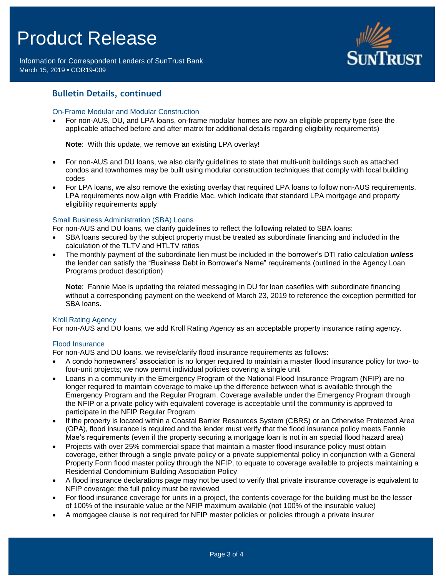Information for Correspondent Lenders of SunTrust Bank March 15, 2019 **•** COR19-009



## **Bulletin Details, continued**

## On-Frame Modular and Modular Construction

 For non-AUS, DU, and LPA loans, on-frame modular homes are now an eligible property type (see the applicable attached before and after matrix for additional details regarding eligibility requirements)

**Note**: With this update, we remove an existing LPA overlay!

- For non-AUS and DU loans, we also clarify guidelines to state that multi-unit buildings such as attached condos and townhomes may be built using modular construction techniques that comply with local building codes
- For LPA loans, we also remove the existing overlay that required LPA loans to follow non-AUS requirements. LPA requirements now align with Freddie Mac, which indicate that standard LPA mortgage and property eligibility requirements apply

## Small Business Administration (SBA) Loans

For non-AUS and DU loans, we clarify guidelines to reflect the following related to SBA loans:

- SBA loans secured by the subject property must be treated as subordinate financing and included in the calculation of the TLTV and HTLTV ratios
- The monthly payment of the subordinate lien must be included in the borrower's DTI ratio calculation *unless* the lender can satisfy the "Business Debt in Borrower's Name" requirements (outlined in the Agency Loan Programs product description)

**Note**: Fannie Mae is updating the related messaging in DU for loan casefiles with subordinate financing without a corresponding payment on the weekend of March 23, 2019 to reference the exception permitted for SBA loans.

### Kroll Rating Agency

For non-AUS and DU loans, we add Kroll Rating Agency as an acceptable property insurance rating agency.

## Flood Insurance

For non-AUS and DU loans, we revise/clarify flood insurance requirements as follows:

- A condo homeowners' association is no longer required to maintain a master flood insurance policy for two- to four-unit projects; we now permit individual policies covering a single unit
- Loans in a community in the Emergency Program of the National Flood Insurance Program (NFIP) are no longer required to maintain coverage to make up the difference between what is available through the Emergency Program and the Regular Program. Coverage available under the Emergency Program through the NFIP or a private policy with equivalent coverage is acceptable until the community is approved to participate in the NFIP Regular Program
- If the property is located within a Coastal Barrier Resources System (CBRS) or an Otherwise Protected Area (OPA), flood insurance is required and the lender must verify that the flood insurance policy meets Fannie Mae's requirements (even if the property securing a mortgage loan is not in an special flood hazard area)
- Projects with over 25% commercial space that maintain a master flood insurance policy must obtain coverage, either through a single private policy or a private supplemental policy in conjunction with a General Property Form flood master policy through the NFIP, to equate to coverage available to projects maintaining a Residential Condominium Building Association Policy
- A flood insurance declarations page may not be used to verify that private insurance coverage is equivalent to NFIP coverage; the full policy must be reviewed
- For flood insurance coverage for units in a project, the contents coverage for the building must be the lesser of 100% of the insurable value or the NFIP maximum available (not 100% of the insurable value)
- A mortgagee clause is not required for NFIP master policies or policies through a private insurer